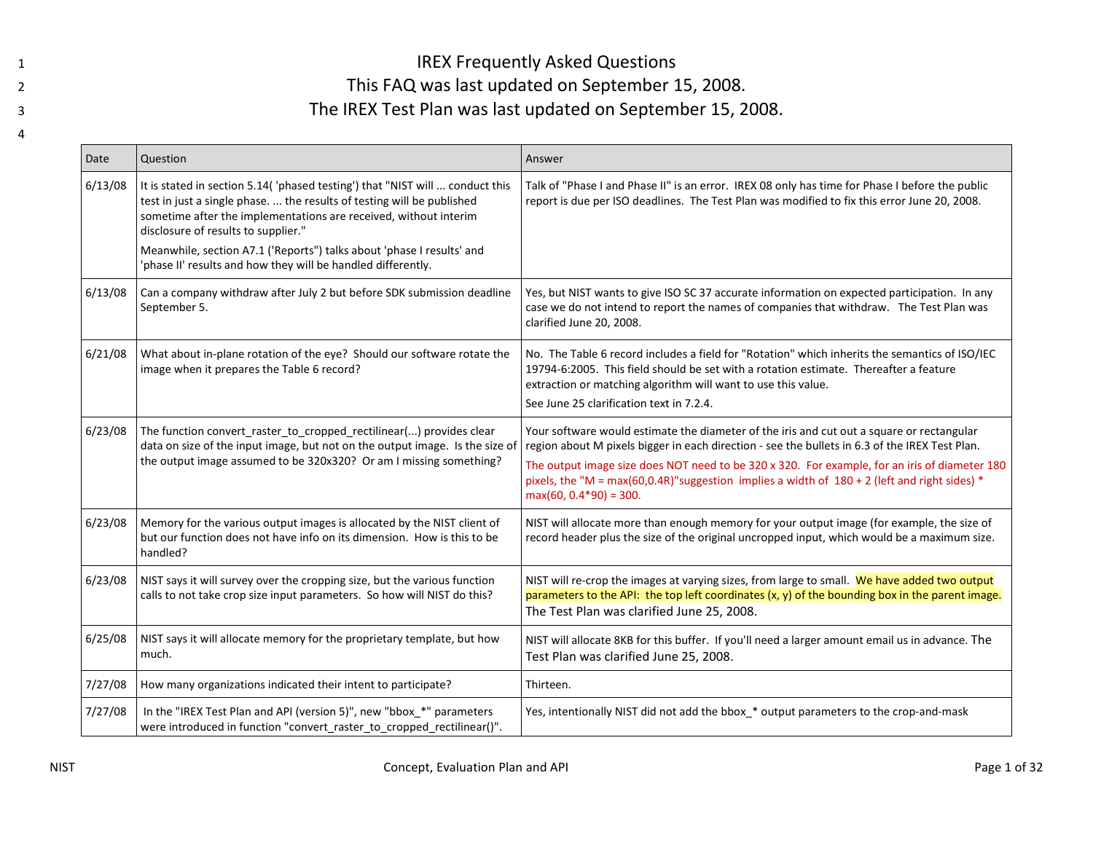## IREX Frequently Asked Questions This FAQ was last updated on September 15, 2008. The IREX Test Plan was last updated on September 15, 2008.

| Date    | Question                                                                                                                                                                                                                                                                                                                                                                                                  | Answer                                                                                                                                                                                                                                                                                                                                                                                                                     |
|---------|-----------------------------------------------------------------------------------------------------------------------------------------------------------------------------------------------------------------------------------------------------------------------------------------------------------------------------------------------------------------------------------------------------------|----------------------------------------------------------------------------------------------------------------------------------------------------------------------------------------------------------------------------------------------------------------------------------------------------------------------------------------------------------------------------------------------------------------------------|
| 6/13/08 | It is stated in section 5.14('phased testing') that "NIST will  conduct this<br>test in just a single phase.  the results of testing will be published<br>sometime after the implementations are received, without interim<br>disclosure of results to supplier."<br>Meanwhile, section A7.1 ('Reports") talks about 'phase I results' and<br>phase II' results and how they will be handled differently. | Talk of "Phase I and Phase II" is an error. IREX 08 only has time for Phase I before the public<br>report is due per ISO deadlines. The Test Plan was modified to fix this error June 20, 2008.                                                                                                                                                                                                                            |
| 6/13/08 | Can a company withdraw after July 2 but before SDK submission deadline<br>September 5.                                                                                                                                                                                                                                                                                                                    | Yes, but NIST wants to give ISO SC 37 accurate information on expected participation. In any<br>case we do not intend to report the names of companies that withdraw. The Test Plan was<br>clarified June 20, 2008.                                                                                                                                                                                                        |
| 6/21/08 | What about in-plane rotation of the eye? Should our software rotate the<br>image when it prepares the Table 6 record?                                                                                                                                                                                                                                                                                     | No. The Table 6 record includes a field for "Rotation" which inherits the semantics of ISO/IEC<br>19794-6:2005. This field should be set with a rotation estimate. Thereafter a feature<br>extraction or matching algorithm will want to use this value.<br>See June 25 clarification text in 7.2.4.                                                                                                                       |
| 6/23/08 | The function convert_raster_to_cropped_rectilinear() provides clear<br>data on size of the input image, but not on the output image. Is the size of<br>the output image assumed to be 320x320? Or am I missing something?                                                                                                                                                                                 | Your software would estimate the diameter of the iris and cut out a square or rectangular<br>region about M pixels bigger in each direction - see the bullets in 6.3 of the IREX Test Plan.<br>The output image size does NOT need to be 320 x 320. For example, for an iris of diameter 180<br>pixels, the "M = max(60,0.4R)"suggestion implies a width of $180 + 2$ (left and right sides) *<br>$max(60, 0.4*90) = 300.$ |
| 6/23/08 | Memory for the various output images is allocated by the NIST client of<br>but our function does not have info on its dimension. How is this to be<br>handled?                                                                                                                                                                                                                                            | NIST will allocate more than enough memory for your output image (for example, the size of<br>record header plus the size of the original uncropped input, which would be a maximum size.                                                                                                                                                                                                                                  |
| 6/23/08 | NIST says it will survey over the cropping size, but the various function<br>calls to not take crop size input parameters. So how will NIST do this?                                                                                                                                                                                                                                                      | NIST will re-crop the images at varying sizes, from large to small. We have added two output<br>parameters to the API: the top left coordinates $(x, y)$ of the bounding box in the parent image.<br>The Test Plan was clarified June 25, 2008.                                                                                                                                                                            |
| 6/25/08 | NIST says it will allocate memory for the proprietary template, but how<br>much.                                                                                                                                                                                                                                                                                                                          | NIST will allocate 8KB for this buffer. If you'll need a larger amount email us in advance. The<br>Test Plan was clarified June 25, 2008.                                                                                                                                                                                                                                                                                  |
| 7/27/08 | How many organizations indicated their intent to participate?                                                                                                                                                                                                                                                                                                                                             | Thirteen.                                                                                                                                                                                                                                                                                                                                                                                                                  |
| 7/27/08 | In the "IREX Test Plan and API (version 5)", new "bbox_*" parameters<br>were introduced in function "convert_raster_to_cropped_rectilinear()".                                                                                                                                                                                                                                                            | Yes, intentionally NIST did not add the bbox_* output parameters to the crop-and-mask                                                                                                                                                                                                                                                                                                                                      |

1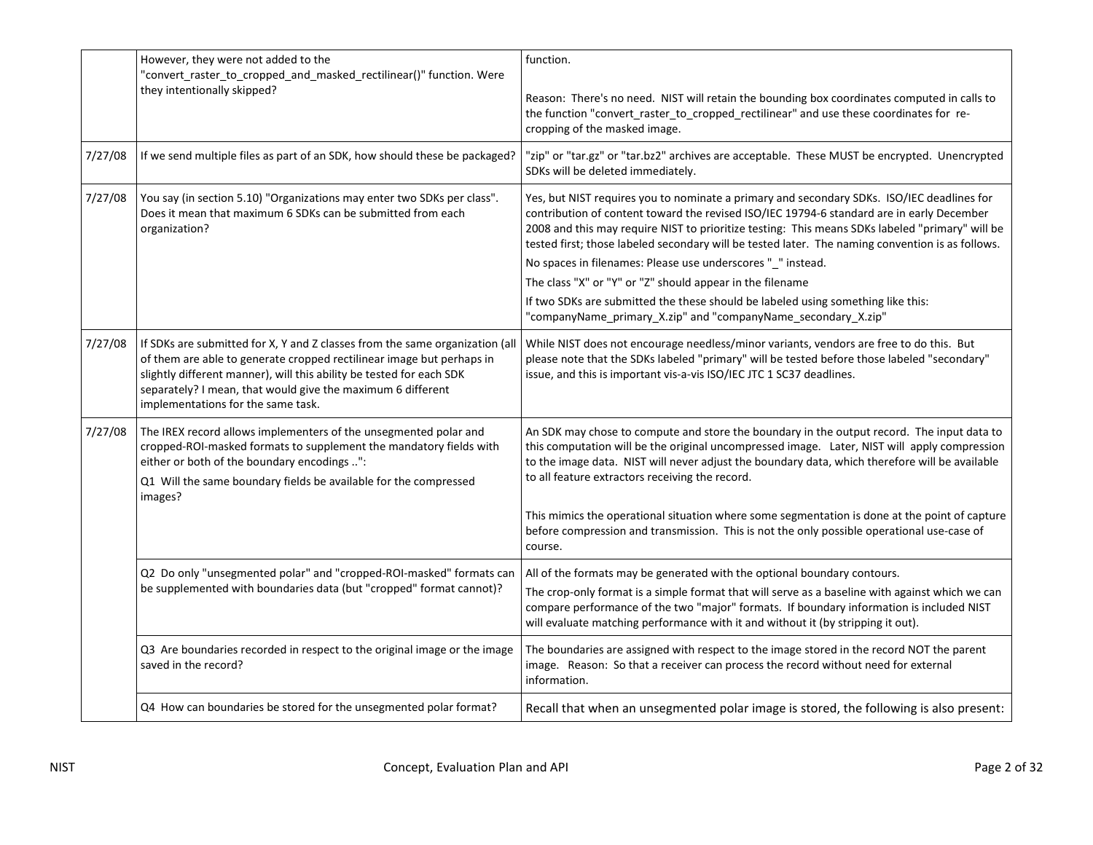|         | However, they were not added to the<br>"convert_raster_to_cropped_and_masked_rectilinear()" function. Were                                                                                                                                                                                                                         | function.                                                                                                                                                                                                                                                                                                                                                                                                                                                                                                                                                                                                                                                                       |
|---------|------------------------------------------------------------------------------------------------------------------------------------------------------------------------------------------------------------------------------------------------------------------------------------------------------------------------------------|---------------------------------------------------------------------------------------------------------------------------------------------------------------------------------------------------------------------------------------------------------------------------------------------------------------------------------------------------------------------------------------------------------------------------------------------------------------------------------------------------------------------------------------------------------------------------------------------------------------------------------------------------------------------------------|
|         | they intentionally skipped?                                                                                                                                                                                                                                                                                                        | Reason: There's no need. NIST will retain the bounding box coordinates computed in calls to<br>the function "convert_raster_to_cropped_rectilinear" and use these coordinates for re-<br>cropping of the masked image.                                                                                                                                                                                                                                                                                                                                                                                                                                                          |
| 7/27/08 | If we send multiple files as part of an SDK, how should these be packaged?                                                                                                                                                                                                                                                         | "zip" or "tar.gz" or "tar.bz2" archives are acceptable. These MUST be encrypted. Unencrypted<br>SDKs will be deleted immediately.                                                                                                                                                                                                                                                                                                                                                                                                                                                                                                                                               |
| 7/27/08 | You say (in section 5.10) "Organizations may enter two SDKs per class".<br>Does it mean that maximum 6 SDKs can be submitted from each<br>organization?                                                                                                                                                                            | Yes, but NIST requires you to nominate a primary and secondary SDKs. ISO/IEC deadlines for<br>contribution of content toward the revised ISO/IEC 19794-6 standard are in early December<br>2008 and this may require NIST to prioritize testing: This means SDKs labeled "primary" will be<br>tested first; those labeled secondary will be tested later. The naming convention is as follows.<br>No spaces in filenames: Please use underscores "_" instead.<br>The class "X" or "Y" or "Z" should appear in the filename<br>If two SDKs are submitted the these should be labeled using something like this:<br>"companyName_primary_X.zip" and "companyName_secondary_X.zip" |
| 7/27/08 | If SDKs are submitted for X, Y and Z classes from the same organization (all<br>of them are able to generate cropped rectilinear image but perhaps in<br>slightly different manner), will this ability be tested for each SDK<br>separately? I mean, that would give the maximum 6 different<br>implementations for the same task. | While NIST does not encourage needless/minor variants, vendors are free to do this. But<br>please note that the SDKs labeled "primary" will be tested before those labeled "secondary"<br>issue, and this is important vis-a-vis ISO/IEC JTC 1 SC37 deadlines.                                                                                                                                                                                                                                                                                                                                                                                                                  |
| 7/27/08 | The IREX record allows implementers of the unsegmented polar and<br>cropped-ROI-masked formats to supplement the mandatory fields with<br>either or both of the boundary encodings ":<br>Q1 Will the same boundary fields be available for the compressed<br>images?                                                               | An SDK may chose to compute and store the boundary in the output record. The input data to<br>this computation will be the original uncompressed image. Later, NIST will apply compression<br>to the image data. NIST will never adjust the boundary data, which therefore will be available<br>to all feature extractors receiving the record.<br>This mimics the operational situation where some segmentation is done at the point of capture<br>before compression and transmission. This is not the only possible operational use-case of<br>course.                                                                                                                       |
|         | Q2 Do only "unsegmented polar" and "cropped-ROI-masked" formats can<br>be supplemented with boundaries data (but "cropped" format cannot)?                                                                                                                                                                                         | All of the formats may be generated with the optional boundary contours.<br>The crop-only format is a simple format that will serve as a baseline with against which we can<br>compare performance of the two "major" formats. If boundary information is included NIST<br>will evaluate matching performance with it and without it (by stripping it out).                                                                                                                                                                                                                                                                                                                     |
|         | Q3 Are boundaries recorded in respect to the original image or the image<br>saved in the record?                                                                                                                                                                                                                                   | The boundaries are assigned with respect to the image stored in the record NOT the parent<br>image. Reason: So that a receiver can process the record without need for external<br>information.                                                                                                                                                                                                                                                                                                                                                                                                                                                                                 |
|         | Q4 How can boundaries be stored for the unsegmented polar format?                                                                                                                                                                                                                                                                  | Recall that when an unsegmented polar image is stored, the following is also present:                                                                                                                                                                                                                                                                                                                                                                                                                                                                                                                                                                                           |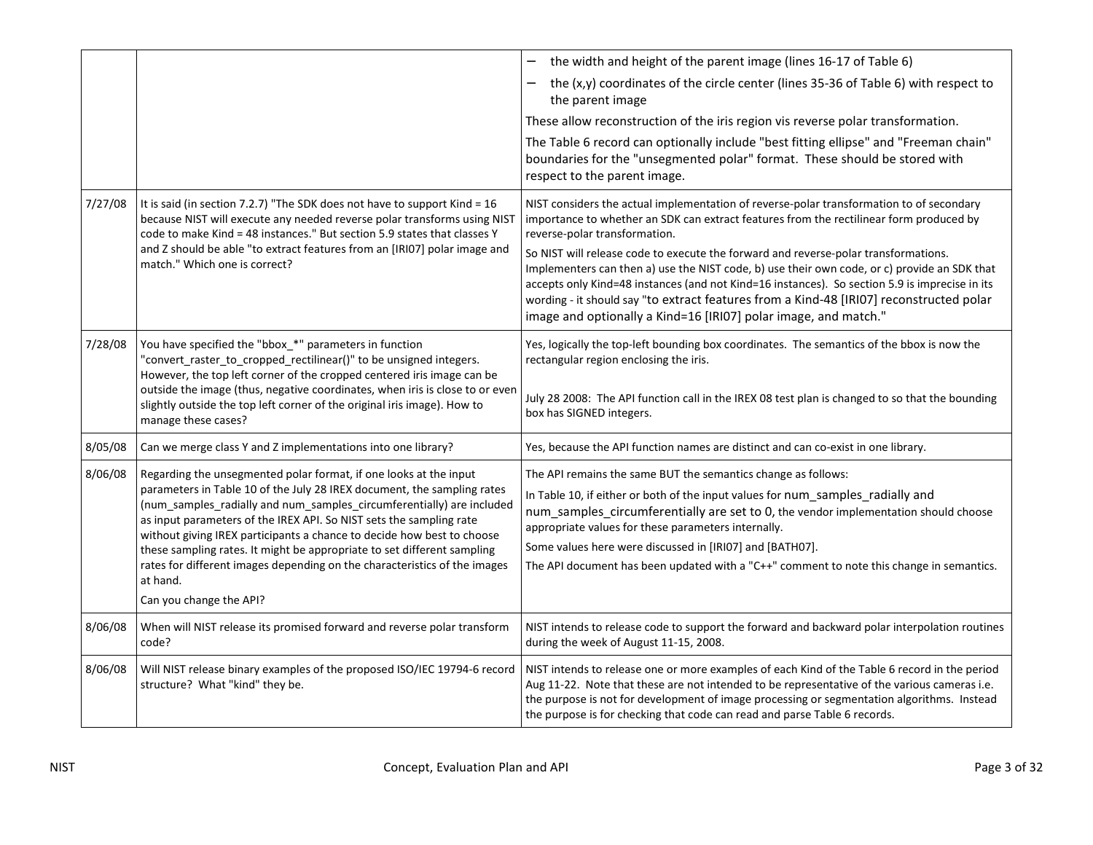|         |                                                                                                                                                                                                                                                                                                                                                                                                                                                   | the width and height of the parent image (lines 16-17 of Table 6)                                                                                                                                                                                                                                                                                                                                                                                   |
|---------|---------------------------------------------------------------------------------------------------------------------------------------------------------------------------------------------------------------------------------------------------------------------------------------------------------------------------------------------------------------------------------------------------------------------------------------------------|-----------------------------------------------------------------------------------------------------------------------------------------------------------------------------------------------------------------------------------------------------------------------------------------------------------------------------------------------------------------------------------------------------------------------------------------------------|
|         |                                                                                                                                                                                                                                                                                                                                                                                                                                                   |                                                                                                                                                                                                                                                                                                                                                                                                                                                     |
|         |                                                                                                                                                                                                                                                                                                                                                                                                                                                   | the (x,y) coordinates of the circle center (lines 35-36 of Table 6) with respect to<br>the parent image                                                                                                                                                                                                                                                                                                                                             |
|         |                                                                                                                                                                                                                                                                                                                                                                                                                                                   | These allow reconstruction of the iris region vis reverse polar transformation.                                                                                                                                                                                                                                                                                                                                                                     |
|         |                                                                                                                                                                                                                                                                                                                                                                                                                                                   | The Table 6 record can optionally include "best fitting ellipse" and "Freeman chain"<br>boundaries for the "unsegmented polar" format. These should be stored with<br>respect to the parent image.                                                                                                                                                                                                                                                  |
| 7/27/08 | It is said (in section 7.2.7) "The SDK does not have to support Kind = 16<br>because NIST will execute any needed reverse polar transforms using NIST<br>code to make Kind = 48 instances." But section 5.9 states that classes Y<br>and Z should be able "to extract features from an [IRIO7] polar image and                                                                                                                                    | NIST considers the actual implementation of reverse-polar transformation to of secondary<br>importance to whether an SDK can extract features from the rectilinear form produced by<br>reverse-polar transformation.                                                                                                                                                                                                                                |
|         | match." Which one is correct?                                                                                                                                                                                                                                                                                                                                                                                                                     | So NIST will release code to execute the forward and reverse-polar transformations.<br>Implementers can then a) use the NIST code, b) use their own code, or c) provide an SDK that<br>accepts only Kind=48 instances (and not Kind=16 instances). So section 5.9 is imprecise in its<br>wording - it should say "to extract features from a Kind-48 [IRI07] reconstructed polar<br>image and optionally a Kind=16 [IRIO7] polar image, and match." |
| 7/28/08 | You have specified the "bbox_*" parameters in function<br>"convert_raster_to_cropped_rectilinear()" to be unsigned integers.<br>However, the top left corner of the cropped centered iris image can be                                                                                                                                                                                                                                            | Yes, logically the top-left bounding box coordinates. The semantics of the bbox is now the<br>rectangular region enclosing the iris.                                                                                                                                                                                                                                                                                                                |
|         | outside the image (thus, negative coordinates, when iris is close to or even<br>slightly outside the top left corner of the original iris image). How to<br>manage these cases?                                                                                                                                                                                                                                                                   | July 28 2008: The API function call in the IREX 08 test plan is changed to so that the bounding<br>box has SIGNED integers.                                                                                                                                                                                                                                                                                                                         |
| 8/05/08 | Can we merge class Y and Z implementations into one library?                                                                                                                                                                                                                                                                                                                                                                                      | Yes, because the API function names are distinct and can co-exist in one library.                                                                                                                                                                                                                                                                                                                                                                   |
| 8/06/08 | Regarding the unsegmented polar format, if one looks at the input<br>parameters in Table 10 of the July 28 IREX document, the sampling rates<br>(num_samples_radially and num_samples_circumferentially) are included<br>as input parameters of the IREX API. So NIST sets the sampling rate<br>without giving IREX participants a chance to decide how best to choose<br>these sampling rates. It might be appropriate to set different sampling | The API remains the same BUT the semantics change as follows:                                                                                                                                                                                                                                                                                                                                                                                       |
|         |                                                                                                                                                                                                                                                                                                                                                                                                                                                   | In Table 10, if either or both of the input values for num_samples_radially and<br>num_samples_circumferentially are set to 0, the vendor implementation should choose<br>appropriate values for these parameters internally.                                                                                                                                                                                                                       |
|         |                                                                                                                                                                                                                                                                                                                                                                                                                                                   | Some values here were discussed in [IRI07] and [BATH07].                                                                                                                                                                                                                                                                                                                                                                                            |
|         | rates for different images depending on the characteristics of the images<br>at hand.                                                                                                                                                                                                                                                                                                                                                             | The API document has been updated with a "C++" comment to note this change in semantics.                                                                                                                                                                                                                                                                                                                                                            |
|         | Can you change the API?                                                                                                                                                                                                                                                                                                                                                                                                                           |                                                                                                                                                                                                                                                                                                                                                                                                                                                     |
| 8/06/08 | When will NIST release its promised forward and reverse polar transform<br>code?                                                                                                                                                                                                                                                                                                                                                                  | NIST intends to release code to support the forward and backward polar interpolation routines<br>during the week of August 11-15, 2008.                                                                                                                                                                                                                                                                                                             |
| 8/06/08 | Will NIST release binary examples of the proposed ISO/IEC 19794-6 record<br>structure? What "kind" they be.                                                                                                                                                                                                                                                                                                                                       | NIST intends to release one or more examples of each Kind of the Table 6 record in the period<br>Aug 11-22. Note that these are not intended to be representative of the various cameras i.e.<br>the purpose is not for development of image processing or segmentation algorithms. Instead<br>the purpose is for checking that code can read and parse Table 6 records.                                                                            |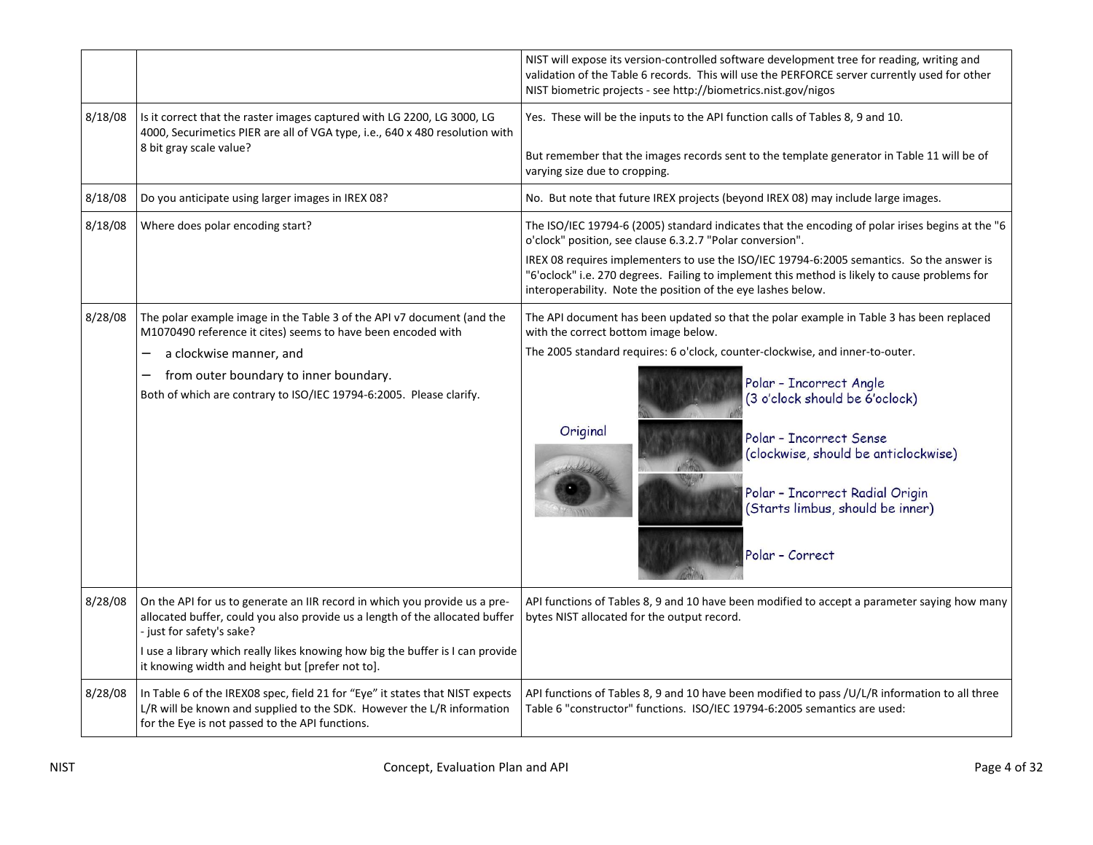|         |                                                                                                                                                                                                                                                                                                                               | NIST will expose its version-controlled software development tree for reading, writing and<br>validation of the Table 6 records. This will use the PERFORCE server currently used for other<br>NIST biometric projects - see http://biometrics.nist.gov/nigos                                                                                                                                                                                           |
|---------|-------------------------------------------------------------------------------------------------------------------------------------------------------------------------------------------------------------------------------------------------------------------------------------------------------------------------------|---------------------------------------------------------------------------------------------------------------------------------------------------------------------------------------------------------------------------------------------------------------------------------------------------------------------------------------------------------------------------------------------------------------------------------------------------------|
| 8/18/08 | Is it correct that the raster images captured with LG 2200, LG 3000, LG<br>4000, Securimetics PIER are all of VGA type, i.e., 640 x 480 resolution with<br>8 bit gray scale value?                                                                                                                                            | Yes. These will be the inputs to the API function calls of Tables 8, 9 and 10.<br>But remember that the images records sent to the template generator in Table 11 will be of<br>varying size due to cropping.                                                                                                                                                                                                                                           |
| 8/18/08 | Do you anticipate using larger images in IREX 08?                                                                                                                                                                                                                                                                             | No. But note that future IREX projects (beyond IREX 08) may include large images.                                                                                                                                                                                                                                                                                                                                                                       |
| 8/18/08 | Where does polar encoding start?                                                                                                                                                                                                                                                                                              | The ISO/IEC 19794-6 (2005) standard indicates that the encoding of polar irises begins at the "6<br>o'clock" position, see clause 6.3.2.7 "Polar conversion".<br>IREX 08 requires implementers to use the ISO/IEC 19794-6:2005 semantics. So the answer is<br>"6'oclock" i.e. 270 degrees. Failing to implement this method is likely to cause problems for<br>interoperability. Note the position of the eye lashes below.                             |
| 8/28/08 | The polar example image in the Table 3 of the API v7 document (and the<br>M1070490 reference it cites) seems to have been encoded with<br>a clockwise manner, and<br>from outer boundary to inner boundary.<br>Both of which are contrary to ISO/IEC 19794-6:2005. Please clarify.                                            | The API document has been updated so that the polar example in Table 3 has been replaced<br>with the correct bottom image below.<br>The 2005 standard requires: 6 o'clock, counter-clockwise, and inner-to-outer.<br>Polar - Incorrect Angle<br>(3 o'clock should be 6'oclock)<br>Original<br>Polar - Incorrect Sense<br>(clockwise, should be anticlockwise)<br>Polar - Incorrect Radial Origin<br>(Starts limbus, should be inner)<br>Polar - Correct |
| 8/28/08 | On the API for us to generate an IIR record in which you provide us a pre-<br>allocated buffer, could you also provide us a length of the allocated buffer<br>- just for safety's sake?<br>I use a library which really likes knowing how big the buffer is I can provide<br>it knowing width and height but [prefer not to]. | API functions of Tables 8, 9 and 10 have been modified to accept a parameter saying how many<br>bytes NIST allocated for the output record.                                                                                                                                                                                                                                                                                                             |
| 8/28/08 | In Table 6 of the IREX08 spec, field 21 for "Eye" it states that NIST expects<br>L/R will be known and supplied to the SDK. However the L/R information<br>for the Eye is not passed to the API functions.                                                                                                                    | API functions of Tables 8, 9 and 10 have been modified to pass /U/L/R information to all three<br>Table 6 "constructor" functions. ISO/IEC 19794-6:2005 semantics are used:                                                                                                                                                                                                                                                                             |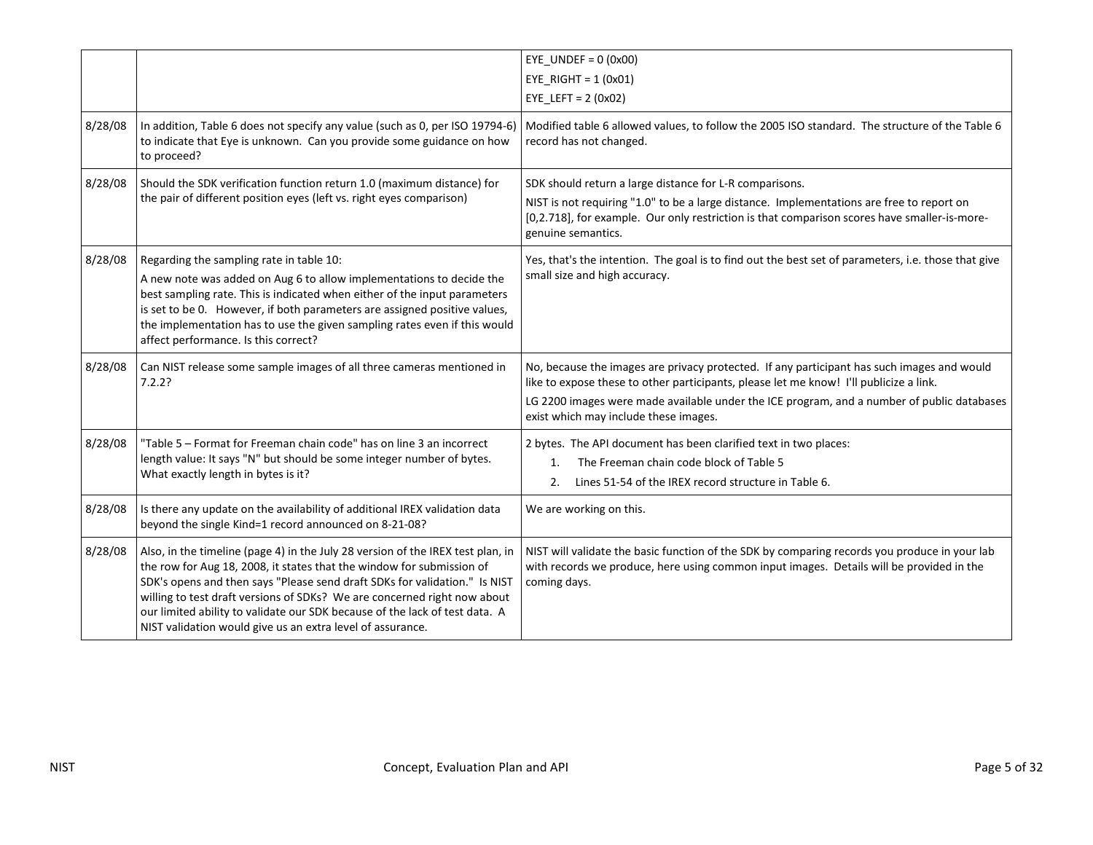|         |                                                                                                                                                                                                                                                                                                                                                                                                                                                                 | EYE UNDEF = $0(0x00)$<br>EYE RIGHT = $1(0x01)$<br>EYE LEFT = $2 (0x02)$                                                                                                                                                                                                                                                     |
|---------|-----------------------------------------------------------------------------------------------------------------------------------------------------------------------------------------------------------------------------------------------------------------------------------------------------------------------------------------------------------------------------------------------------------------------------------------------------------------|-----------------------------------------------------------------------------------------------------------------------------------------------------------------------------------------------------------------------------------------------------------------------------------------------------------------------------|
| 8/28/08 | In addition, Table 6 does not specify any value (such as 0, per ISO 19794-6)<br>to indicate that Eye is unknown. Can you provide some guidance on how<br>to proceed?                                                                                                                                                                                                                                                                                            | Modified table 6 allowed values, to follow the 2005 ISO standard. The structure of the Table 6<br>record has not changed.                                                                                                                                                                                                   |
| 8/28/08 | Should the SDK verification function return 1.0 (maximum distance) for<br>the pair of different position eyes (left vs. right eyes comparison)                                                                                                                                                                                                                                                                                                                  | SDK should return a large distance for L-R comparisons.<br>NIST is not requiring "1.0" to be a large distance. Implementations are free to report on<br>[0,2.718], for example. Our only restriction is that comparison scores have smaller-is-more-<br>genuine semantics.                                                  |
| 8/28/08 | Regarding the sampling rate in table 10:<br>A new note was added on Aug 6 to allow implementations to decide the<br>best sampling rate. This is indicated when either of the input parameters<br>is set to be 0. However, if both parameters are assigned positive values,<br>the implementation has to use the given sampling rates even if this would<br>affect performance. Is this correct?                                                                 | Yes, that's the intention. The goal is to find out the best set of parameters, i.e. those that give<br>small size and high accuracy.                                                                                                                                                                                        |
| 8/28/08 | Can NIST release some sample images of all three cameras mentioned in<br>7.2.2?                                                                                                                                                                                                                                                                                                                                                                                 | No, because the images are privacy protected. If any participant has such images and would<br>like to expose these to other participants, please let me know! I'll publicize a link.<br>LG 2200 images were made available under the ICE program, and a number of public databases<br>exist which may include these images. |
| 8/28/08 | "Table 5 - Format for Freeman chain code" has on line 3 an incorrect<br>length value: It says "N" but should be some integer number of bytes.<br>What exactly length in bytes is it?                                                                                                                                                                                                                                                                            | 2 bytes. The API document has been clarified text in two places:<br>The Freeman chain code block of Table 5<br>1.<br>Lines 51-54 of the IREX record structure in Table 6.<br>2.                                                                                                                                             |
| 8/28/08 | Is there any update on the availability of additional IREX validation data<br>beyond the single Kind=1 record announced on 8-21-08?                                                                                                                                                                                                                                                                                                                             | We are working on this.                                                                                                                                                                                                                                                                                                     |
| 8/28/08 | Also, in the timeline (page 4) in the July 28 version of the IREX test plan, in<br>the row for Aug 18, 2008, it states that the window for submission of<br>SDK's opens and then says "Please send draft SDKs for validation." Is NIST<br>willing to test draft versions of SDKs? We are concerned right now about<br>our limited ability to validate our SDK because of the lack of test data. A<br>NIST validation would give us an extra level of assurance. | NIST will validate the basic function of the SDK by comparing records you produce in your lab<br>with records we produce, here using common input images. Details will be provided in the<br>coming days.                                                                                                                   |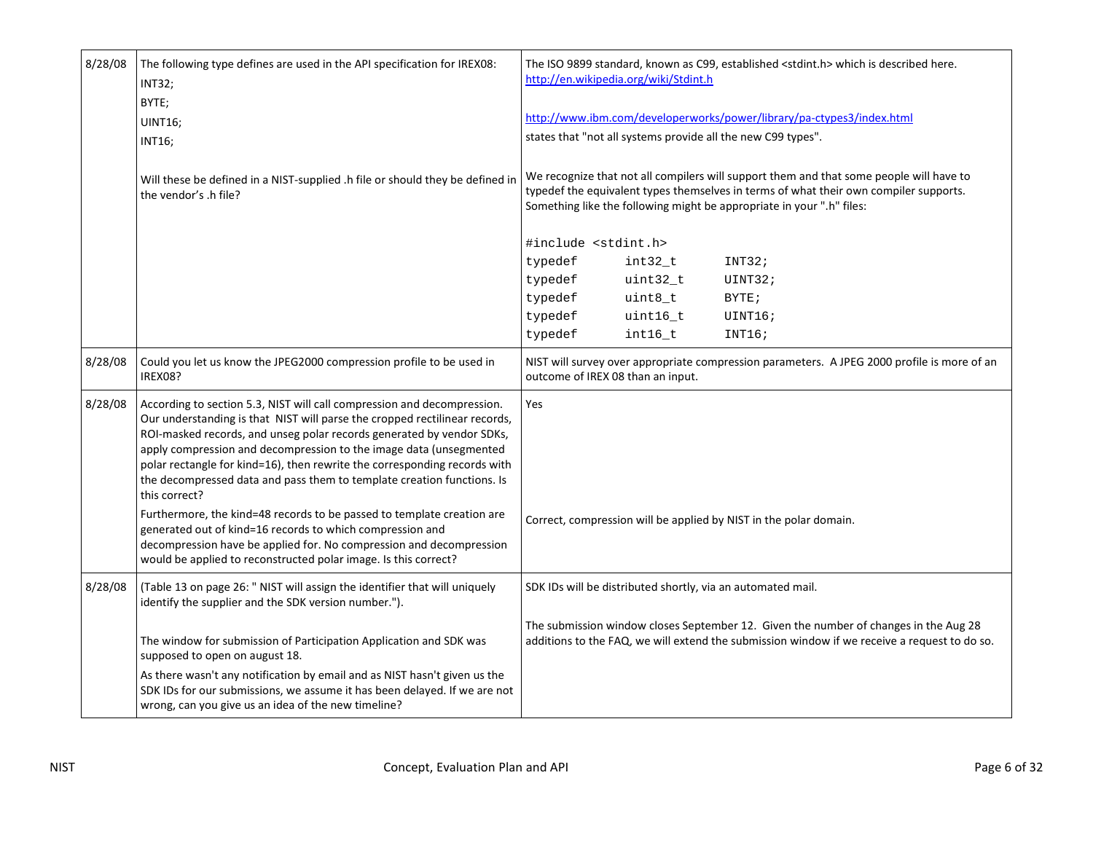| 8/28/08 | The following type defines are used in the API specification for IREX08:<br><b>INT32;</b><br>BYTE;<br><b>UINT16;</b><br><b>INT16:</b>                                                                                                                                                                                                                                                                                                                                        | The ISO 9899 standard, known as C99, established <stdint.h> which is described here.<br/>http://en.wikipedia.org/wiki/Stdint.h<br/>http://www.ibm.com/developerworks/power/library/pa-ctypes3/index.html<br/>states that "not all systems provide all the new C99 types".</stdint.h> |
|---------|------------------------------------------------------------------------------------------------------------------------------------------------------------------------------------------------------------------------------------------------------------------------------------------------------------------------------------------------------------------------------------------------------------------------------------------------------------------------------|--------------------------------------------------------------------------------------------------------------------------------------------------------------------------------------------------------------------------------------------------------------------------------------|
|         | Will these be defined in a NIST-supplied .h file or should they be defined in<br>the vendor's .h file?                                                                                                                                                                                                                                                                                                                                                                       | We recognize that not all compilers will support them and that some people will have to<br>typedef the equivalent types themselves in terms of what their own compiler supports.<br>Something like the following might be appropriate in your ".h" files:                            |
|         |                                                                                                                                                                                                                                                                                                                                                                                                                                                                              | #include <stdint.h></stdint.h>                                                                                                                                                                                                                                                       |
|         |                                                                                                                                                                                                                                                                                                                                                                                                                                                                              | typedef<br>int32_t<br>INT32;                                                                                                                                                                                                                                                         |
|         |                                                                                                                                                                                                                                                                                                                                                                                                                                                                              | typedef<br>uint32_t<br>UINT32;                                                                                                                                                                                                                                                       |
|         |                                                                                                                                                                                                                                                                                                                                                                                                                                                                              | typedef<br>$uint8_t$<br>BYTE;                                                                                                                                                                                                                                                        |
|         |                                                                                                                                                                                                                                                                                                                                                                                                                                                                              | typedef<br>uint16_t<br>UINT16;                                                                                                                                                                                                                                                       |
|         |                                                                                                                                                                                                                                                                                                                                                                                                                                                                              | typedef<br>int16_t<br>INT16;                                                                                                                                                                                                                                                         |
| 8/28/08 | Could you let us know the JPEG2000 compression profile to be used in<br>IREX08?                                                                                                                                                                                                                                                                                                                                                                                              | NIST will survey over appropriate compression parameters. A JPEG 2000 profile is more of an<br>outcome of IREX 08 than an input.                                                                                                                                                     |
| 8/28/08 | According to section 5.3, NIST will call compression and decompression.<br>Our understanding is that NIST will parse the cropped rectilinear records,<br>ROI-masked records, and unseg polar records generated by vendor SDKs,<br>apply compression and decompression to the image data (unsegmented<br>polar rectangle for kind=16), then rewrite the corresponding records with<br>the decompressed data and pass them to template creation functions. Is<br>this correct? | Yes                                                                                                                                                                                                                                                                                  |
|         | Furthermore, the kind=48 records to be passed to template creation are<br>generated out of kind=16 records to which compression and<br>decompression have be applied for. No compression and decompression<br>would be applied to reconstructed polar image. Is this correct?                                                                                                                                                                                                | Correct, compression will be applied by NIST in the polar domain.                                                                                                                                                                                                                    |
| 8/28/08 | (Table 13 on page 26: " NIST will assign the identifier that will uniquely<br>identify the supplier and the SDK version number.").                                                                                                                                                                                                                                                                                                                                           | SDK IDs will be distributed shortly, via an automated mail.                                                                                                                                                                                                                          |
|         | The window for submission of Participation Application and SDK was<br>supposed to open on august 18.                                                                                                                                                                                                                                                                                                                                                                         | The submission window closes September 12. Given the number of changes in the Aug 28<br>additions to the FAQ, we will extend the submission window if we receive a request to do so.                                                                                                 |
|         | As there wasn't any notification by email and as NIST hasn't given us the<br>SDK IDs for our submissions, we assume it has been delayed. If we are not<br>wrong, can you give us an idea of the new timeline?                                                                                                                                                                                                                                                                |                                                                                                                                                                                                                                                                                      |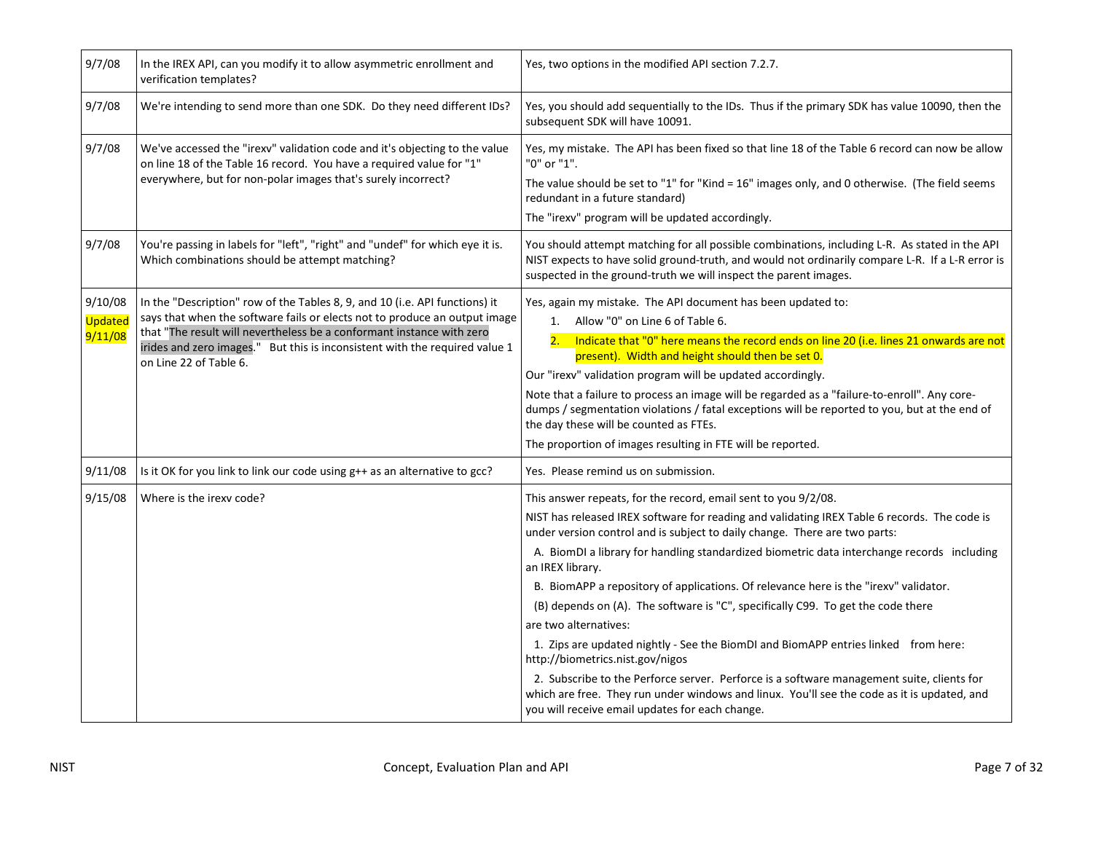| 9/7/08                        | In the IREX API, can you modify it to allow asymmetric enrollment and<br>verification templates?                                                                                                                                                                                                                                            | Yes, two options in the modified API section 7.2.7.                                                                                                                                                                                                                                                                                                                                                                                                                                                                                                                                                                                                                                                                                                                                                                                                                                                                                          |
|-------------------------------|---------------------------------------------------------------------------------------------------------------------------------------------------------------------------------------------------------------------------------------------------------------------------------------------------------------------------------------------|----------------------------------------------------------------------------------------------------------------------------------------------------------------------------------------------------------------------------------------------------------------------------------------------------------------------------------------------------------------------------------------------------------------------------------------------------------------------------------------------------------------------------------------------------------------------------------------------------------------------------------------------------------------------------------------------------------------------------------------------------------------------------------------------------------------------------------------------------------------------------------------------------------------------------------------------|
| 9/7/08                        | We're intending to send more than one SDK. Do they need different IDs?                                                                                                                                                                                                                                                                      | Yes, you should add sequentially to the IDs. Thus if the primary SDK has value 10090, then the<br>subsequent SDK will have 10091.                                                                                                                                                                                                                                                                                                                                                                                                                                                                                                                                                                                                                                                                                                                                                                                                            |
| 9/7/08                        | We've accessed the "irexv" validation code and it's objecting to the value<br>on line 18 of the Table 16 record. You have a required value for "1"<br>everywhere, but for non-polar images that's surely incorrect?                                                                                                                         | Yes, my mistake. The API has been fixed so that line 18 of the Table 6 record can now be allow<br>"0" or "1".<br>The value should be set to "1" for "Kind = 16" images only, and 0 otherwise. (The field seems<br>redundant in a future standard)<br>The "irexv" program will be updated accordingly.                                                                                                                                                                                                                                                                                                                                                                                                                                                                                                                                                                                                                                        |
| 9/7/08                        | You're passing in labels for "left", "right" and "undef" for which eye it is.<br>Which combinations should be attempt matching?                                                                                                                                                                                                             | You should attempt matching for all possible combinations, including L-R. As stated in the API<br>NIST expects to have solid ground-truth, and would not ordinarily compare L-R. If a L-R error is<br>suspected in the ground-truth we will inspect the parent images.                                                                                                                                                                                                                                                                                                                                                                                                                                                                                                                                                                                                                                                                       |
| 9/10/08<br>Updated<br>9/11/08 | In the "Description" row of the Tables 8, 9, and 10 (i.e. API functions) it<br>says that when the software fails or elects not to produce an output image<br>that "The result will nevertheless be a conformant instance with zero<br>irides and zero images." But this is inconsistent with the required value 1<br>on Line 22 of Table 6. | Yes, again my mistake. The API document has been updated to:<br>1. Allow "0" on Line 6 of Table 6.<br>Indicate that "0" here means the record ends on line 20 (i.e. lines 21 onwards are not<br>present). Width and height should then be set 0.<br>Our "irexv" validation program will be updated accordingly.<br>Note that a failure to process an image will be regarded as a "failure-to-enroll". Any core-<br>dumps / segmentation violations / fatal exceptions will be reported to you, but at the end of<br>the day these will be counted as FTEs.<br>The proportion of images resulting in FTE will be reported.                                                                                                                                                                                                                                                                                                                    |
| 9/11/08                       | Is it OK for you link to link our code using g++ as an alternative to gcc?                                                                                                                                                                                                                                                                  | Yes. Please remind us on submission.                                                                                                                                                                                                                                                                                                                                                                                                                                                                                                                                                                                                                                                                                                                                                                                                                                                                                                         |
| 9/15/08                       | Where is the irexv code?                                                                                                                                                                                                                                                                                                                    | This answer repeats, for the record, email sent to you 9/2/08.<br>NIST has released IREX software for reading and validating IREX Table 6 records. The code is<br>under version control and is subject to daily change. There are two parts:<br>A. BiomDI a library for handling standardized biometric data interchange records including<br>an IREX library.<br>B. BiomAPP a repository of applications. Of relevance here is the "irexv" validator.<br>(B) depends on (A). The software is "C", specifically C99. To get the code there<br>are two alternatives:<br>1. Zips are updated nightly - See the BiomDI and BiomAPP entries linked from here:<br>http://biometrics.nist.gov/nigos<br>2. Subscribe to the Perforce server. Perforce is a software management suite, clients for<br>which are free. They run under windows and linux. You'll see the code as it is updated, and<br>you will receive email updates for each change. |